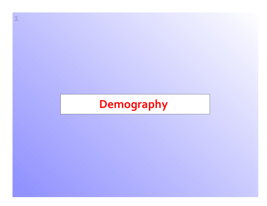# **Demography**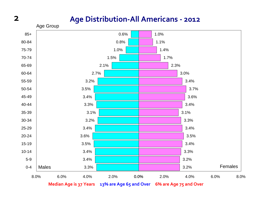#### **Age Distribution‐All Americans ‐ <sup>2012</sup>**



**Median Age is 37 Years 13% are Age 65 and Over 6% are Age 75 and Over**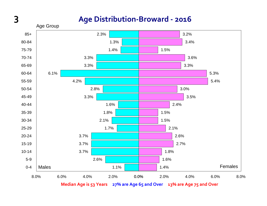#### **Age Distribution‐Broward ‐ 2016**

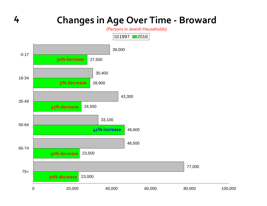## **<sup>4</sup> Changes in Age Over Time ‐ Broward**

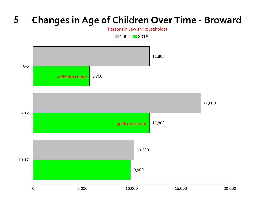# **<sup>5</sup> Changes in Age of Children Over Time ‐ Broward**

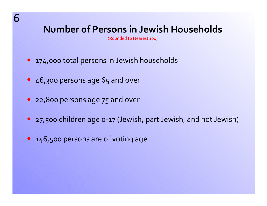# **Number of Persons in Jewish Households**

(Rounded to Nearest 100)

- 174,000 total persons in Jewish households
- 46,300 persons age 65 and over
- 22,800 persons age 75 and over
- 27,500 children age o-17 (Jewish, part Jewish, and not Jewish)
- 146,500 persons are of voting age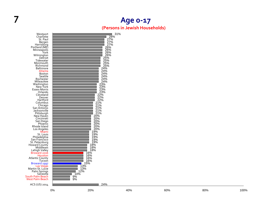#### **7 Age 0 ‐17 (Persons in Jewish Households)**

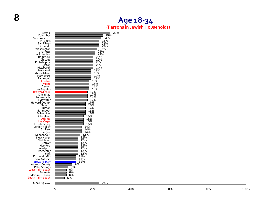#### **Age 18 ‐34 (Persons in Jewish Households)**

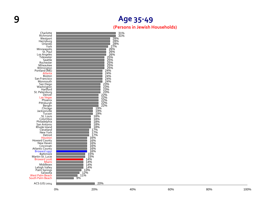#### **9 Age 35 ‐49**

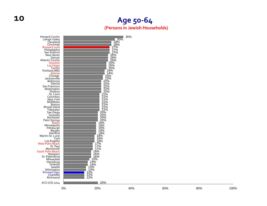#### **Age 50 ‐64 (Persons in Jewish Households)**

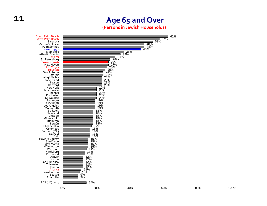#### **Age 65 and Over (Persons in Jewish Households)**

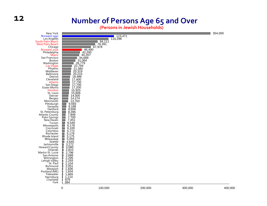#### **Number of Persons Age 65 and Over**

**(Persons in Jewish Households)**

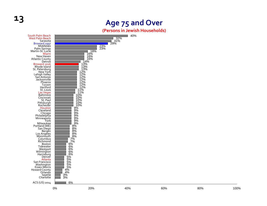

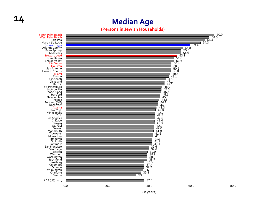#### **14 Median Age**

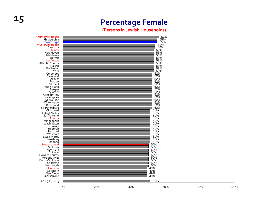## **<sup>15</sup> Percentage Female**

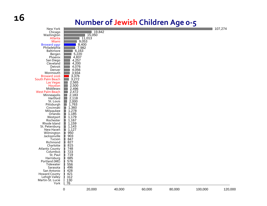#### **Number of Jewish Children Age 0 ‐ 5**

|                                    |                                    |                |        |        |        | $\tilde{\phantom{a}}$ |         |
|------------------------------------|------------------------------------|----------------|--------|--------|--------|-----------------------|---------|
| New York<br>Chicago                |                                    | 19,842         |        |        |        |                       | 107,274 |
| Washington                         |                                    | 15,050         |        |        |        |                       |         |
| Atlanta                            |                                    | 11,013         |        |        |        |                       |         |
| Miami                              |                                    | 9,053          |        |        |        |                       |         |
| Broward 1997                       |                                    | 8,400<br>7,982 |        |        |        |                       |         |
| Philadelphia<br><b>Baltimore</b>   | 6,163                              |                |        |        |        |                       |         |
| Bergen                             | 5,220                              |                |        |        |        |                       |         |
| Phoenix                            | 4,837                              |                |        |        |        |                       |         |
| San Diego                          | 4,257                              |                |        |        |        |                       |         |
| Cleveland<br>Detroit               | 4,200<br>4,076                     |                |        |        |        |                       |         |
| Denver                             | 4,056                              |                |        |        |        |                       |         |
| Monmouth                           | 3,934                              |                |        |        |        |                       |         |
| Broward 2016                       | 3,376                              |                |        |        |        |                       |         |
| South Palm Beach                   | 3,272                              |                |        |        |        |                       |         |
| <b>Las Vegas</b><br>Houston        | 2,565<br>2,500                     |                |        |        |        |                       |         |
| Middlesex                          | 2,496                              |                |        |        |        |                       |         |
| <b>West Palm Beach</b>             | 2,472                              |                |        |        |        |                       |         |
| Minneapolis                        | 2,183<br>T.                        |                |        |        |        |                       |         |
| Hartford<br>St. Louis              | 2,118<br>$\sim$<br>2,000<br>$\Box$ |                |        |        |        |                       |         |
| Pittsburgh                         | $\Box$<br>1,763                    |                |        |        |        |                       |         |
| Cincinnati                         | 1,360<br>Ш                         |                |        |        |        |                       |         |
| Milwaukee                          | П<br>1,278                         |                |        |        |        |                       |         |
| Orlando<br>Westport                | 口<br>1,185<br>1,179                |                |        |        |        |                       |         |
| Rochester                          | E<br>1,167                         |                |        |        |        |                       |         |
| Rhode Island                       | П<br>1,159                         |                |        |        |        |                       |         |
| St. Petersburg                     | 口<br>1,143                         |                |        |        |        |                       |         |
| New Haven                          | ∎<br>1,127<br>П<br>950             |                |        |        |        |                       |         |
| Wilmington<br>Jacksonville         | 903                                |                |        |        |        |                       |         |
| Tucson                             | 847<br>П                           |                |        |        |        |                       |         |
| Richmond                           | П<br>827                           |                |        |        |        |                       |         |
| Charlotte                          | 815<br>П<br>n                      |                |        |        |        |                       |         |
| <b>Atlantic County</b><br>Columbus | 748<br>Ш                           |                |        |        |        |                       |         |
| St. Paul                           | 723<br>719<br>i                    |                |        |        |        |                       |         |
| Harrisburg                         | 685                                |                |        |        |        |                       |         |
| Portland (ME)                      | 576                                |                |        |        |        |                       |         |
| Tidewater<br>Sarasota              | 556<br>496                         |                |        |        |        |                       |         |
| San Antonio                        | 428                                |                |        |        |        |                       |         |
| <b>Howard County</b>               | 421                                |                |        |        |        |                       |         |
| Lehigh Valley                      | 312                                |                |        |        |        |                       |         |
| Martin-St. Lucie<br>York           | 130<br>76                          |                |        |        |        |                       |         |
|                                    |                                    |                |        |        |        |                       |         |
|                                    | $\boldsymbol{0}$                   | 20,000         | 40,000 | 60,000 | 80,000 | 100,000               | 120,000 |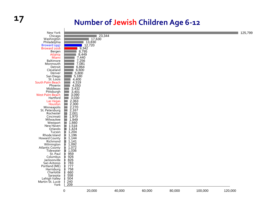## **17 Number of Jewish Children Age 6 ‐12**

| New York<br>Chicago                 |                                                                                                                                                        | 23,344                  |        |        |        |         |         | 125,799 |
|-------------------------------------|--------------------------------------------------------------------------------------------------------------------------------------------------------|-------------------------|--------|--------|--------|---------|---------|---------|
| Washington<br>Philadelphia          |                                                                                                                                                        | $\frac{17,630}{13,830}$ |        |        |        |         |         |         |
| Broward 1997<br>Broward 2016        | 9,342                                                                                                                                                  | 12,720                  |        |        |        |         |         |         |
| Bergen                              | 8,795                                                                                                                                                  |                         |        |        |        |         |         |         |
| Atlanta<br>Miami                    | 8,449                                                                                                                                                  |                         |        |        |        |         |         |         |
| Baltimore<br>Monmouth               | 7,440<br>7,256                                                                                                                                         |                         |        |        |        |         |         |         |
| Detroit                             | $7,081$<br>6,864                                                                                                                                       |                         |        |        |        |         |         |         |
| Cleveland<br>Denver                 | 6,600<br>5,800                                                                                                                                         |                         |        |        |        |         |         |         |
| San Diego                           | 5,180                                                                                                                                                  |                         |        |        |        |         |         |         |
| St. Louis<br>South Palm Beach       | 4,400<br>4,319                                                                                                                                         |                         |        |        |        |         |         |         |
| Phoenix                             | 4,050                                                                                                                                                  |                         |        |        |        |         |         |         |
| Middlesex<br>Pittsburgh             | 3,432<br>3,401                                                                                                                                         |                         |        |        |        |         |         |         |
| <b>West Palm Beach</b>              |                                                                                                                                                        |                         |        |        |        |         |         |         |
| Hartford<br>Las Vegas               | $3,090$<br>$3,030$<br>$2,363$                                                                                                                          |                         |        |        |        |         |         |         |
| Houston                             | 2,300                                                                                                                                                  |                         |        |        |        |         |         |         |
| Minneapolis<br>St. Petersburg       | 2,270<br>$\frac{2,167}{2,001}$<br><b>STATE OF STATE OF STATE OF STATE OF STATE OF STATE OF STATE OF STATE OF STATE OF STATE OF STATE OF STATE OF S</b> |                         |        |        |        |         |         |         |
| Rochester<br>Cincinnati             | 1,970                                                                                                                                                  |                         |        |        |        |         |         |         |
| Milwaukee                           | 1,949                                                                                                                                                  |                         |        |        |        |         |         |         |
| Westport<br>New Haven               | 1,518                                                                                                                                                  |                         |        |        |        |         |         |         |
| Orlando                             | 1,424<br>$\blacksquare$                                                                                                                                |                         |        |        |        |         |         |         |
| Tucson<br>Rhode Island              | 1,204<br>1,196                                                                                                                                         |                         |        |        |        |         |         |         |
| <b>Howard County</b>                | 1,144                                                                                                                                                  |                         |        |        |        |         |         |         |
| Richmond<br>Wilmington              | 1,141<br>П                                                                                                                                             |                         |        |        |        |         |         |         |
| <b>Atlantic County</b><br>Tidewater | $1,092$<br>$1,072$<br>◧                                                                                                                                |                         |        |        |        |         |         |         |
| St. Paul                            | 1,036<br>959                                                                                                                                           |                         |        |        |        |         |         |         |
| Columbus<br>Jacksonville            | $\frac{926}{826}$                                                                                                                                      |                         |        |        |        |         |         |         |
| San Antonio                         |                                                                                                                                                        |                         |        |        |        |         |         |         |
| Portland (ME)<br>Harrisburg         |                                                                                                                                                        |                         |        |        |        |         |         |         |
| Charlotte                           | 783<br>777<br>758<br>660<br>558                                                                                                                        |                         |        |        |        |         |         |         |
| Sarasota<br>Lehigh Valley           | 504                                                                                                                                                    |                         |        |        |        |         |         |         |
| Martin-St. Lucie                    | 240<br>209                                                                                                                                             |                         |        |        |        |         |         |         |
| York                                |                                                                                                                                                        |                         |        |        |        |         |         |         |
|                                     | $\boldsymbol{0}$                                                                                                                                       | 20,000                  | 40,000 | 60,000 | 80,000 | 100,000 | 120,000 |         |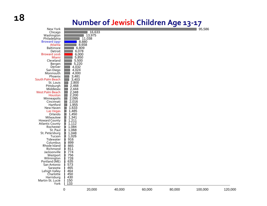#### **Number of Jewish Children Age 13 ‐17**

| New York             |                        |        |        |        |        | 95,586  |         |
|----------------------|------------------------|--------|--------|--------|--------|---------|---------|
| Chicago              |                        | 16,633 |        |        |        |         |         |
| Washington           |                        | 13,975 |        |        |        |         |         |
| Philadelphia         |                        | 11,038 |        |        |        |         |         |
| Broward 1997         | 8,880                  |        |        |        |        |         |         |
| Atlanta              | 8,658                  |        |        |        |        |         |         |
| <b>Baltimore</b>     | 6,809                  |        |        |        |        |         |         |
| Detroit              | 6,078                  |        |        |        |        |         |         |
|                      |                        |        |        |        |        |         |         |
| Broward 2016         | 6,000                  |        |        |        |        |         |         |
| Miami                | 5,850                  |        |        |        |        |         |         |
| Cleveland            | 5,500                  |        |        |        |        |         |         |
| Bergen               | 5,220                  |        |        |        |        |         |         |
| Denver               | 4,032                  |        |        |        |        |         |         |
| San Diego            | 4,024                  |        |        |        |        |         |         |
| Monmouth             | 4,000                  |        |        |        |        |         |         |
| Phoenix              | 3,481                  |        |        |        |        |         |         |
| South Palm Beach     | 3,403                  |        |        |        |        |         |         |
| St. Louis            | 2,800                  |        |        |        |        |         |         |
| Pittsburgh           | 2,468                  |        |        |        |        |         |         |
| Middlesex            | 2,444                  |        |        |        |        |         |         |
| West Palm Beach      |                        |        |        |        |        |         |         |
| Houston              | 2,348<br>2,200         |        |        |        |        |         |         |
| Minneapolis          | 2,095<br>$\mathcal{L}$ |        |        |        |        |         |         |
| Cincinnati           | 2,016<br>a.            |        |        |        |        |         |         |
| Hartford             |                        |        |        |        |        |         |         |
|                      | 1,955<br>$\Box$        |        |        |        |        |         |         |
| New Haven            | 口<br>1,633             |        |        |        |        |         |         |
| <b>Las Vegas</b>     | 1,485<br>$\Box$        |        |        |        |        |         |         |
| Orlando              | 1,450<br>П             |        |        |        |        |         |         |
| Milwaukee            | 1,341<br>Π             |        |        |        |        |         |         |
| <b>Howard County</b> | B<br>1,211             |        |        |        |        |         |         |
| Atlantic County      | 1,112                  |        |        |        |        |         |         |
| Rochester            | 1,084                  |        |        |        |        |         |         |
| St. Paul             | 1,068                  |        |        |        |        |         |         |
| St. Petersburg       | 1,048                  |        |        |        |        |         |         |
| Tucson               | 1,026                  |        |        |        |        |         |         |
| Tidewater            | 916                    |        |        |        |        |         |         |
| Columbus             | 899                    |        |        |        |        |         |         |
| Rhode Island         | 865                    |        |        |        |        |         |         |
| Richmond             | 811                    |        |        |        |        |         |         |
| Jacksonville         | 774                    |        |        |        |        |         |         |
| Westport             | 756                    |        |        |        |        |         |         |
| Wilmington           | 728                    |        |        |        |        |         |         |
| Portland (ME)        | ∎<br>635               |        |        |        |        |         |         |
| San Antonio          | 573<br>П               |        |        |        |        |         |         |
| Sarasota             |                        |        |        |        |        |         |         |
|                      | 465                    |        |        |        |        |         |         |
| Lehigh Valley        | 464                    |        |        |        |        |         |         |
| Charlotte            | 450                    |        |        |        |        |         |         |
| Harrisburg           | 430                    |        |        |        |        |         |         |
| Martin-St. Lucie     | 150                    |        |        |        |        |         |         |
| York                 | 133                    |        |        |        |        |         |         |
|                      | 0                      | 20,000 | 40,000 | 60,000 | 80,000 | 100,000 | 120,000 |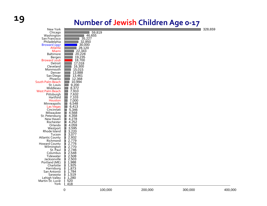# **19 Number of Jewish Children Age 0 ‐17**

328,659

|                                                                                                                                                                                                             | 0                                                                                                                                | 100,000 | 200,000 | 300,000 |         |
|-------------------------------------------------------------------------------------------------------------------------------------------------------------------------------------------------------------|----------------------------------------------------------------------------------------------------------------------------------|---------|---------|---------|---------|
| <b>Howard County</b><br>Wilmington<br>St. Paul<br>Columbus<br>Tidewater<br>Jacksonville<br>Portland (ME)<br>Charlotte<br>Harrisburg<br>San Antonio<br>Sarasota<br>Lehigh Valley<br>Martin-St. Lucie<br>York | 2,776<br>2,770<br>2,746<br>2,548<br>П<br>2,508<br>2,503<br>П<br>1,988<br>1,988<br>1,873<br>1,784<br>1,519<br>1,280<br>520<br>418 |         |         |         | 400,000 |
| Orlando<br>Westport<br>Rhode Island<br>Tucson<br><b>Atlantic County</b><br>Richmond                                                                                                                         | E<br>3,595<br>I<br>$3,220$<br>$3,077$<br>$2,932$<br>$2,779$<br>I                                                                 |         |         |         |         |
| <b>Las Vegas</b><br>Cincinnati<br>Milwaukee<br>St. Petersburg<br>New Haven<br>Rochester                                                                                                                     | 6,413<br>5,346<br>E<br>4,568<br>4,358<br>O<br>$4,278$<br>$4,252$<br>$4,059$<br>⊔<br>◨                                            |         |         |         |         |
| Pittsburgh<br>Hartford<br>Houston<br>Minneapolis                                                                                                                                                            | 7,632<br>7,103<br>7,000<br>6,548<br><b>College</b>                                                                               |         |         |         |         |
| Middlesex<br><b>West Palm Beach</b>                                                                                                                                                                         | 8,372<br>7,910                                                                                                                   |         |         |         |         |
| South Palm Beach<br>St. Louis                                                                                                                                                                               | 10,994<br>9,200                                                                                                                  |         |         |         |         |
| San Diego<br>Phoenix                                                                                                                                                                                        | 13,461<br>12,368                                                                                                                 |         |         |         |         |
| Monmouth<br>Denver                                                                                                                                                                                          | 15,015<br>13,888                                                                                                                 |         |         |         |         |
| Detroit<br>Cleveland                                                                                                                                                                                        | 17,018<br>16,300                                                                                                                 |         |         |         |         |
| Bergen<br>Broward 2016                                                                                                                                                                                      | 19,235<br>18,700                                                                                                                 |         |         |         |         |
| Miami<br><b>Baltimore</b>                                                                                                                                                                                   | 22,343<br>20,228                                                                                                                 |         |         |         |         |
| Broward 1997<br>Atlanta                                                                                                                                                                                     | 30,000<br>28,120                                                                                                                 |         |         |         |         |
| Philadelphia                                                                                                                                                                                                | 32,850                                                                                                                           |         |         |         |         |
| Washington<br>San Francisco                                                                                                                                                                                 | 46,655<br>35,227                                                                                                                 |         |         |         |         |
| Chicago                                                                                                                                                                                                     |                                                                                                                                  | 59,819  |         |         |         |
| New York                                                                                                                                                                                                    |                                                                                                                                  |         |         |         | 328,659 |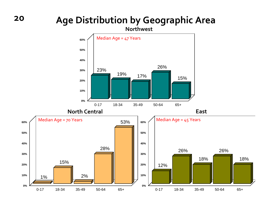#### **Age Distribution by Geographic Area**

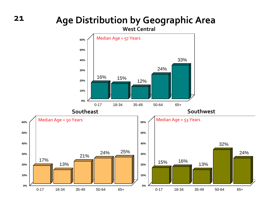#### **Age Distribution by Geographic Area**

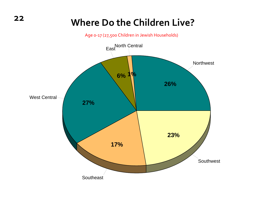# **Where Do the Children Live?**

Age <sup>0</sup>‐<sup>17</sup> (27,500 Children in Jewish Households)

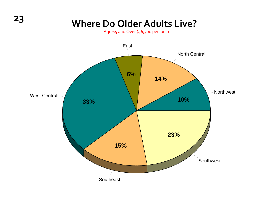# **Where Do Older Adults Live?**

Age 65 and Over (46,300 persons)

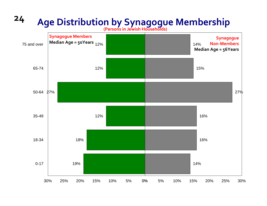# **<sup>24</sup> Age Distribution by Synagogue Membership**

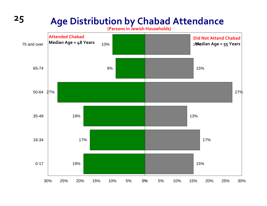# **<sup>25</sup> Age Distribution by Chabad Attendance**

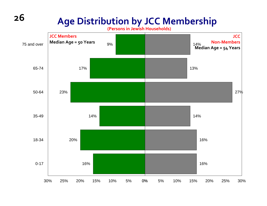# **Age Distribution by JCC Membership**

**(Persons in Jewish Households)**

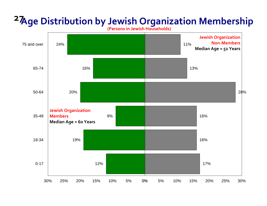# **27Age Distribution by Jewish Organization Membership**

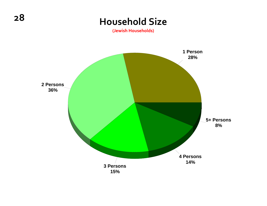#### **Household Size**

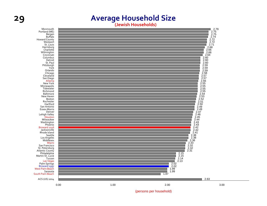#### **29 Average Household Size**

**(Jewish Households)**



(persons per household)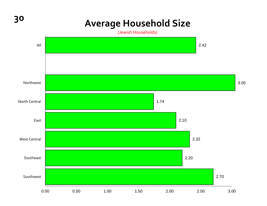# **<sup>30</sup> Average Household Size**

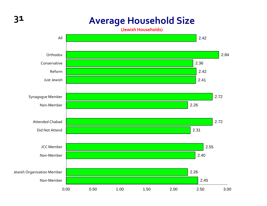## **<sup>31</sup> Average Household Size**

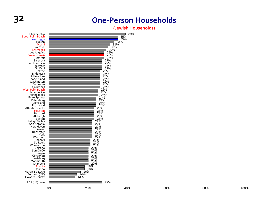#### **32 One ‐Person Households**

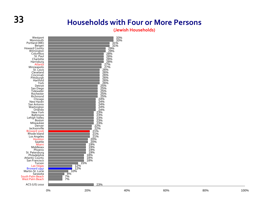## **33 Households with Four or More Persons**

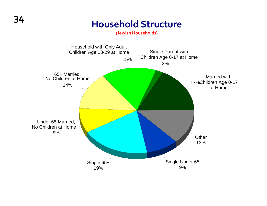# **<sup>34</sup> Household Structure**

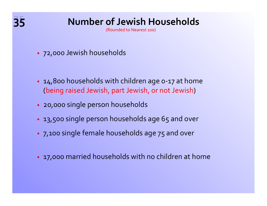# **35 Number of Jewish Households**

(Rounded to Nearest 100)

- 72,000 Jewish households )
- 14,800 households with children age 0-17 at home (being raised Jewish, par<sup>t</sup> Jewish, or not Jewish)
- 20,000 single person households )
- 13,500 single person households age 65 and over
- 7,100 single female households age <sup>75</sup> and over  $\bullet$
- $\bullet$  17,000 married households with no children at home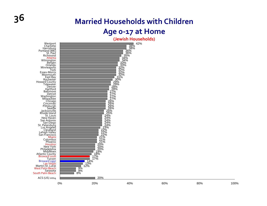# **36 Married Households with Children**

#### **Age 0 ‐17 at Home**

**(Jewish Households)**



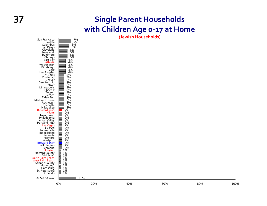### **37 Single Parent Households with Children Age 0 ‐17 at Home**

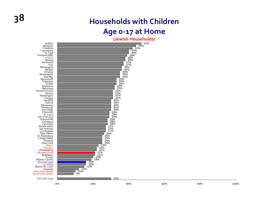# **38 Households with Children**

### **Age 0 ‐17 at Home**

Westpor<mark>t</mark><br>Charlotte Harrisburg St. Paul Portland (ME) Atlanta Boston Richmond YorkWilmington<br>Bergen<br>Orlando Minneapolis EastMonmouth Tidewater Seattle Rochester Baltimore Howard County **Denver** Washington<br>Chicago<br>Hartford Detroit MilwaukeePittsburgh<br>San Diego San Diego<br>Cincinnati St. Louis San Francisco Jacksonville Cleveland Columbus Rhode Island San AntonioLos Angeles<br>New Haven New Haven St. Petersburg Petersburg Lehigh Valley Phoenix New York Miami Houston Philadelphia Browardward 2016<br>Middlesex Tucson<br>Atlantic County<br>Broward 1997 ward 1997<br>Las Vedas Las Vegas<br>Martin-St. Lucie Sarasota West Palm Beach South Palm Beach ACS (US) 2014



0% 20% 40% 60% 80% 100%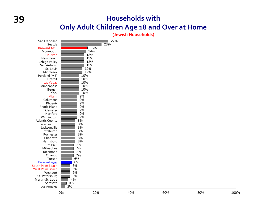### **39 Households with Only Adult Children Age 18 and Over at Home**

**(Jewish Households)**

| San Francisco<br>Seattle<br>Broward 2016<br>Monmouth<br>Houston<br>New Haven<br>Lehigh Valley<br>San Antonio<br>St. Louis<br>Middlesex<br>Portland (ME)<br>Detroit<br>Las Vegas<br>Minneapolis<br>Bergen<br>York<br>Miami<br>Columbus<br>Phoenix<br>Rhode Island<br>Tidewater<br>Hartford<br>Wilmington<br><b>Atlantic County</b><br>Washington<br>Jacksonville<br>Pittsburgh<br>Rochester<br>Charlotte<br>Harrisburg<br>St. Paul<br>Milwaukee<br>Richmond<br>Orlando<br>Tucson<br>Broward 1997<br><b>South Palm Beach</b><br><b>West Palm Beach</b><br>Westport<br>St. Petersburg<br>Martin-St. Lucie<br>Sarasota<br>Los Angeles | 27%<br>23%<br>15%<br>14%<br>13%<br>13%<br>13%<br>13%<br>12%<br>12%<br>10%<br>10%<br>10%<br>10%<br>10%<br>10%<br>9%<br>9%<br>9%<br>9%<br>9%<br>9%<br>9%<br>8%<br>8%<br>8%<br>8%<br>8%<br>8%<br>8%<br>7%<br>7%<br>7%<br>7%<br>6%<br>6%<br>5%<br>5%<br>5%<br>5%<br>4%<br>3%<br>2% |  |
|-----------------------------------------------------------------------------------------------------------------------------------------------------------------------------------------------------------------------------------------------------------------------------------------------------------------------------------------------------------------------------------------------------------------------------------------------------------------------------------------------------------------------------------------------------------------------------------------------------------------------------------|--------------------------------------------------------------------------------------------------------------------------------------------------------------------------------------------------------------------------------------------------------------------------------|--|
|                                                                                                                                                                                                                                                                                                                                                                                                                                                                                                                                                                                                                                   |                                                                                                                                                                                                                                                                                |  |

0%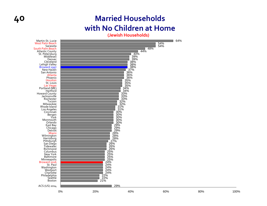### **40 Married Households with No Children at Home**

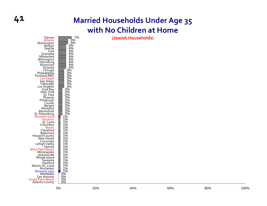### **41 Married Households Under Age 35 with No Children at Home**

**(Jewish Households)** 5%



7%

5%

4%<br>4%%<br>4%%<br>4%%<br>4%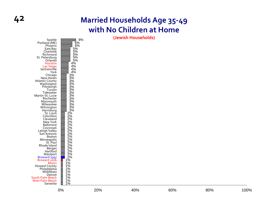### **42 Married Households Age 35 ‐49 with No Children at Home**

**(Jewish Households)** 8%



 6% 6%5% 5%

5% 5% 5%

4% 4%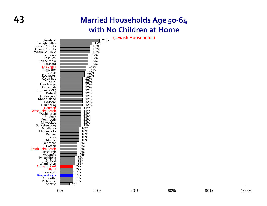### **43 Married Households Age 50 ‐64 with No Children at Home**

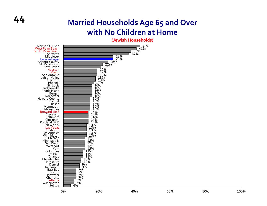### **44 Married Households Age 65 and Over with No Children at Home**

**(Jewish Households)**

28%<br>
28%<br>
2<sup>21%</sup><br>
2<sup>21%</sup><br>
19%<br>
18%<br>
17%<br>
17%<br>
16%

16% 16% 16% 16% 15% 15% 15% 15% 15% 14% 14% 14% 14% 14% 13% 13% 13% 13% 13% 12% 12% 12% 12% 12% 11% 11% 11% 10% 10% 9% 9% 7% 7% 7% 7% 6%

38% 37%

**∃ 43%**<br>41%

 $4%$ Martin‐St. Lucie West Palm Beach South Palm Beach Sarasota Middlesex <mark>Broward 1997</mark><br>Atlantic County tlantic County.<br>St. Petersburg<br>New Haven Houston Miami San Antonio Lehigh Valley Hartford Phoenix St. Louis Jacksonville Rhode Island Bergen<br>Rochester<br>Howard County<br>Detroit<br>Tucson Monmouth Milwaukee Broward 2016 Cleveland BaltimoreCincinnati<br>Portland (ME) rtland (ME)<br>New York<br>Las Vegas<br>Pittsburgh<br>Los Angeles Los Angelés<br>Wilmington<br>Chicago<br>Minneapolis<br>San Diego San Diego<br>Westport<br>York<br>Co<u>l</u>umbus St. Paul<br>Orlando<br>Philadelphia<br>Harrisburg<br>Denver Richmond East Bay Boston Tidewater **Charlotte** <mark>Atlanta</mark><br>Washington<br>Seattle

6%

0% 20% 40% 60% 80% 100%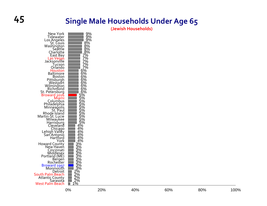### **45 Single Male Households Under Age 65**

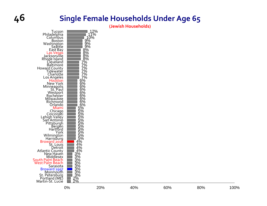### **46 Single Female Households Under Age 65**

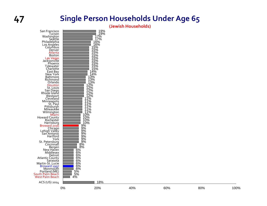### **47 Single Person Households Under Age 65**

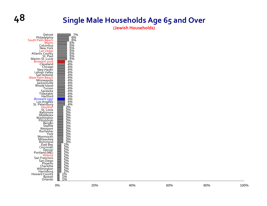## **48 Single Male Households Age <sup>65</sup> and Over**



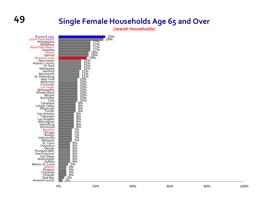### **49 Single Female Households Age 65 and Over**

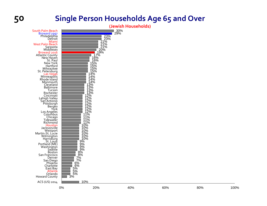### **50 Single Person Households Age 65 and Over**

**(Jewish Households)**

30% 29%

23%<br>21%<br>21%<br>20%<br>19%<br>16%

16% 15% 15% 15% 15% 14% 14% 14% 14% 13% 13% 13% 13% 12% 12% 12% 12% 12% 12% 12% 11% 11% 11% 11%

10%

10%<br>10%<br>10%<br>10%<br>10%<br>15%<br>6%<br>6%<br>6%<br>6%<br>6%<br>6%<br>6%<br>8%<br>3% South Palm Beach Broward 1997<br>Philadelphia<br>Detroit Miami West Palm Beach Sarasota Middlesex Broward 2016 Atlantic County<br>New Haven<br>St. Paul New York Hartford MilwaukeeSt. Petersburg<br><mark>Las Vegas</mark> <mark>Las Vegas</mark><br>Minneapolis<br>Rhode Island Monmouth Cleveland **Baltimore**  Tucson Rochester CincinnatiLehigh Valley Lehigh Valley<br>San Antonio Pittsburgh<br>Bergen<br>York<br>Los Angeles os Angeles<br>Columbus<br>Chicago<br>Tidewater Richmond Houston Jacksonville Westport Martin‐St. Lucie Wilmington<br>Harrisburg Louis Portland (ME)<br>Washington<br>Seattle Boston San Francisco Denver San Diego Phoenix Charlotte East Bay East Bay<br><mark>Atlanta</mark><br>Orlando<br>Howard County ACS (US) 2014

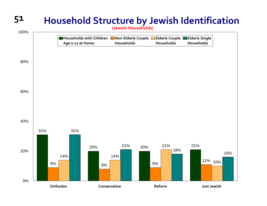## **51 Household Structure by Jewish Identification**

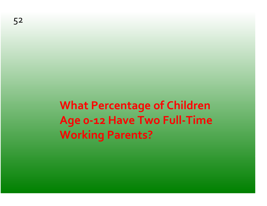**What Percentage of Children Age <sup>0</sup>‐<sup>12</sup> Have Two Full‐Time Working Parents?**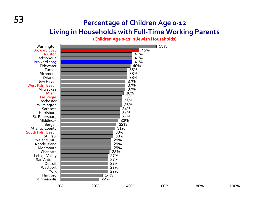### **<sup>53</sup> Percentage of Children Age <sup>0</sup>‐<sup>12</sup> Living in Households with Full‐Time Working Parents**

**(Children Age <sup>0</sup>‐<sup>12</sup> in Jewish Households)**

| Washington<br>Broward 2016<br>Houston<br>Jacksonville<br>Broward 1997                                                                                    |    |                                               | 45%<br>41%<br>41%<br>41%                                           | 55% |     |      |
|----------------------------------------------------------------------------------------------------------------------------------------------------------|----|-----------------------------------------------|--------------------------------------------------------------------|-----|-----|------|
| Tidewater<br>Tucson<br>Richmond<br>Orlando<br>New Haven<br><b>West Palm Beach</b><br>Milwaukee<br>Miami<br>Las Vegas<br>Rochester                        |    |                                               | 40%<br>38%<br>38%<br>38%<br>37%<br>37%<br>37%<br>36%<br>35%<br>35% |     |     |      |
| Wilmington<br>Sarasota<br>Harrisburg<br>St. Petersburg<br>Middlesex<br>Bergen<br><b>Atlantic County</b><br>South Palm Beach<br>St. Paul<br>Portland (ME) |    |                                               | 35%<br>34%<br>34%<br>34%<br>33%<br>32%<br>31%<br>30%<br>30%<br>29% |     |     |      |
| Rhode Island<br>Monmouth<br>Charlotte<br>Lehigh Valley<br>San Antonio<br>Detroit<br>Westport<br>York<br>Hartford<br>Minneapolis                          |    | 27%<br>27%<br>27%<br>27%<br>27%<br>24%<br>22% | 29%<br>29%<br>28%                                                  |     |     |      |
|                                                                                                                                                          | 0% | 20%                                           | 40%                                                                | 60% | 80% | 100% |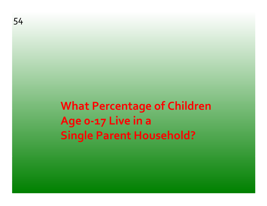**What Percentage of Children Age <sup>0</sup>‐<sup>17</sup> Live in <sup>a</sup> Single Parent Household?**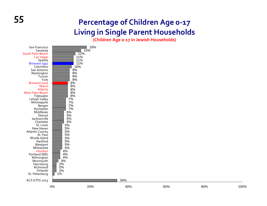### **<sup>55</sup> Percentage of Children Age <sup>0</sup>‐<sup>17</sup> Living in Single Parent Households**

**(Children Age <sup>0</sup>‐<sup>17</sup> in Jewish Households)**

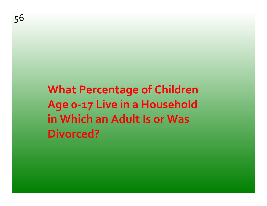# **What Percentage of Children Age <sup>0</sup>‐<sup>17</sup> Live in <sup>a</sup> Household in Which an Adult Is or Was Divorced?**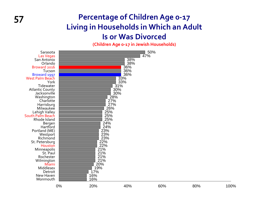### **57 Percentage of Children Age 0 ‐17 Living in Households in Which an Adult Is or Was Divorced**

**(Children Age <sup>0</sup>‐17 in Jewish Households)**

| Sarasota<br>Las Vegas<br>San Antonio<br>Orlando<br>Broward 2016<br>Tucson<br>Broward 1997<br><b>West Palm Beach</b><br>York<br>Tidewater<br><b>Atlantic County</b><br>Jacksonville<br>Washington<br>Charlotte<br>Harrisburg<br>Milwaukee<br>Lehigh Valley<br>South Palm Beach<br>Rhode Island<br>Bergen<br>Hartford<br>Portland (ME)<br>Westport<br>Richmond<br>St. Petersburg<br>Houston<br>Minneapolis<br>St. Paul<br>Rochester<br>Wilmington<br>Miami<br>Middlesex<br>Detroit<br>New Haven |    | 28%<br>27%<br>27%<br>26%<br>25%<br>25%<br>25%<br>24%<br>24%<br>23%<br>23%<br>23%<br>22%<br>22%<br>21%<br>21%<br>21%<br>21%<br>20%<br>19%<br>17%<br>16% | 38%<br>38%<br>36%<br>36%<br>36%<br>33%<br>33%<br>31%<br>30%<br>30% | 50%<br>47% |     |      |
|-----------------------------------------------------------------------------------------------------------------------------------------------------------------------------------------------------------------------------------------------------------------------------------------------------------------------------------------------------------------------------------------------------------------------------------------------------------------------------------------------|----|--------------------------------------------------------------------------------------------------------------------------------------------------------|--------------------------------------------------------------------|------------|-----|------|
| Monmouth                                                                                                                                                                                                                                                                                                                                                                                                                                                                                      | 0% | 16%<br>20%                                                                                                                                             | 40%                                                                | 60%        | 80% | 100% |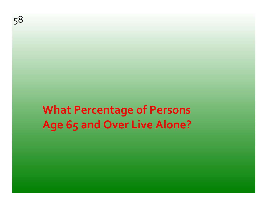# **What Percentage of Persons Age 65 and Over Live Alone?**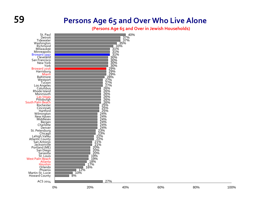### **59 Persons Age 65 and Over Who Live Alone**

**(Persons Age 65 and Over in Jewish Households)**

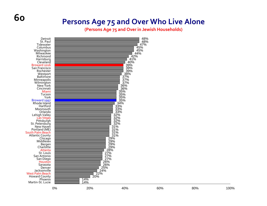### **Persons Age 75 and Over Who Live Alone**

**(Persons Age 75 and Over in Jewish Households)**



**60**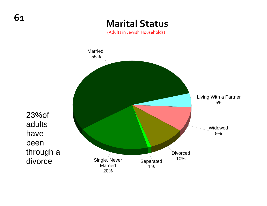### **Marital Status**

(Adults in Jewish Households)



23%of adults have been through a divorce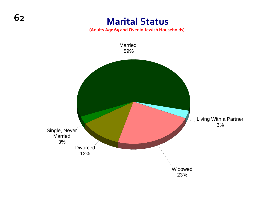### **Marital Status**

**(Adults Age 65 and Over in Jewish Households)**

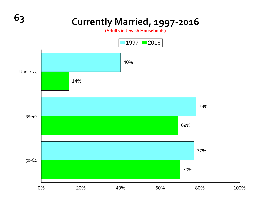# **<sup>63</sup> Currently Married, <sup>1997</sup>‐<sup>2016</sup>**

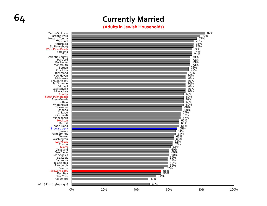### **64 Currently Married**

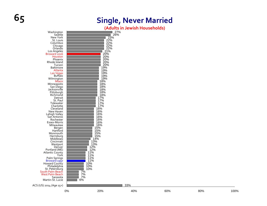## **65 Single, Never Married**

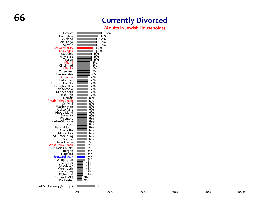### **Currently Divorced**

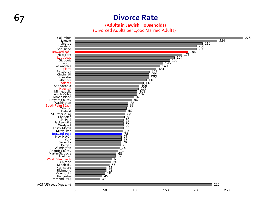### **67 Divorce Rate**

### **(Adults in Jewish Households)** (Divorced Adults per 1,000 Married Adults)

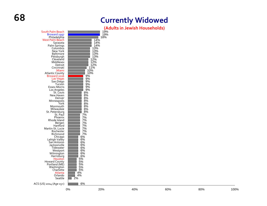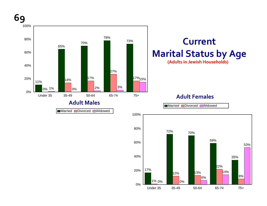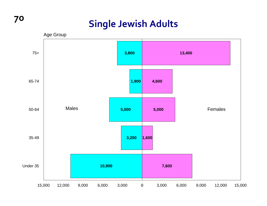### **Single Jewish Adults**



**70**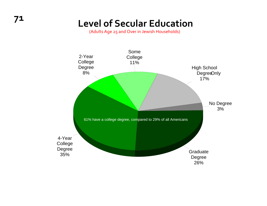(Adults Age 25 and Over in Jewish Households)

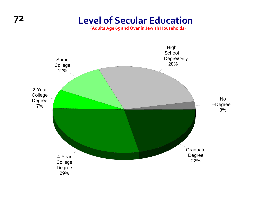### **72 Level of Secular Education**

**(Adults Age 65 and Over in Jewish Households)**

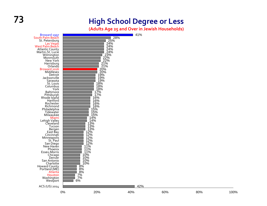### **73 High School Degree or Less**

**(Adults Age 25 and Over in Jewish Households)**

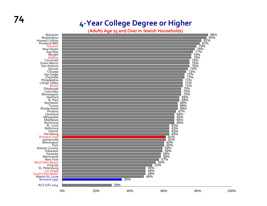### **4 ‐Year College Degree or Higher**

**(Adults Age 25 and Over in Jewish Households)**



**74**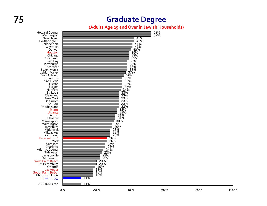### **75 Graduate Degree**

### **(Adults Age 25 and Over in Jewish Households)**

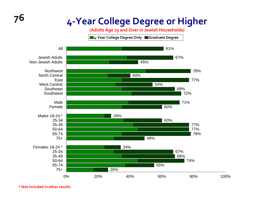## **<sup>76</sup> <sup>4</sup>‐Year College Degree or Higher**

**(Adults Age 25 and Over in Jewish Households)**

**<sup>4</sup>‐Year College Degree Only Graduate Degree**



**\* Not included in other results**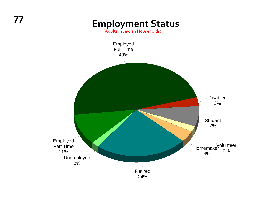## **<sup>77</sup> Employment Status**

(Adults in Jewish Households)

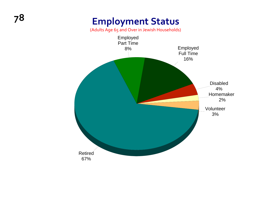### **<sup>78</sup> Employment Status**

(Adults Age 65 and Over in Jewish Households)

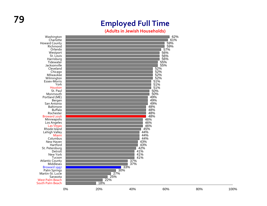### **<sup>79</sup> Employed Full Time**

**(Adults in Jewish Households)**

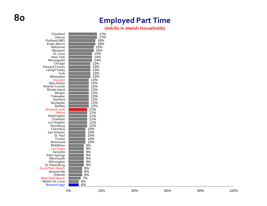### **Employed Part Time**

**(Adults in Jewish Households)**

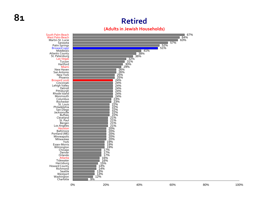### **Retired**



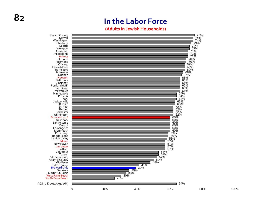### **(Adults in Jewish Households)**

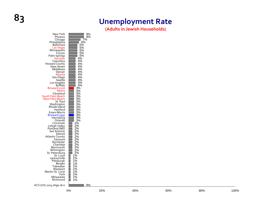### **83 Unemployment Rate**

**(Adults in Jewish Households)**

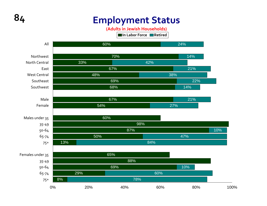### **84 Employment Status**

**(Adults in Jewish Households)**

**In Labor Force Retired**

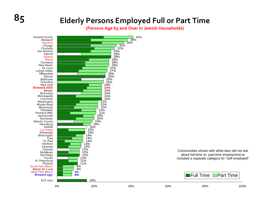### **85 Elderly Persons Employed Full or Part Time**

**(Persons Age 65 and Over in Jewish Households)**

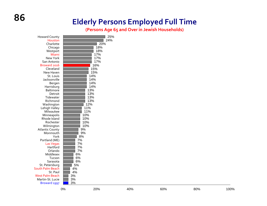### **Elderly Persons Employed Full Time**

**(Persons Age 65 and Over in Jewish Households)**

| <b>Howard County</b>                | 25%      |
|-------------------------------------|----------|
| Houston                             | 24%      |
| Charlotte                           | 20%      |
| Chicago                             | 18%      |
| Westport                            | 18%      |
| Miami                               | 17%      |
| New York                            | 17%      |
| San Antonio                         | 17%      |
| Broward 2016                        | 16%      |
| Cleveland                           | 15%      |
| New Haven                           | 15%      |
| St. Louis                           | 14%      |
| Jacksonville                        | 14%      |
| Bergen                              | 14%      |
| Harrisburg                          | 14%      |
| <b>Baltimore</b>                    | 13%      |
| Detroit                             | 13%      |
| Tidewater                           | 13%      |
| Richmond                            | 13%      |
| Washington                          | 12%      |
| Lehigh Valley                       | 11%      |
| Milwaukee                           | 11%      |
| Minneapolis                         | 10%      |
| Rhode Island                        | 10%      |
| Rochester                           | 10%      |
| Wilmington                          | 10%      |
| <b>Atlantic County</b>              | 9%       |
| Monmouth                            | 9%       |
| York                                | 8%       |
| Portland (ME)                       | 7%       |
| <b>Las Vegas</b>                    | 7%       |
| Hartford                            | 7%       |
| Orlando                             | 7%       |
| Middlesex                           | 6%       |
| Tucson                              | 6%       |
| Sarasota                            | 6%       |
| St. Petersburg                      | 5%       |
| <b>South Palm Beach</b><br>St. Paul | 4%<br>4% |
| West Palm Beach                     | 3%       |
| Martin-St. Lucie                    | 3%       |
| Broward 1997                        | 3%       |
|                                     |          |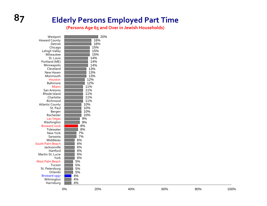### **87 Elderly Persons Employed Part Time**

**(Persons Age 65 and Over in Jewish Households)**

| Westport<br><b>Howard County</b> | 20%<br>16% |
|----------------------------------|------------|
| Detroit                          | 16%        |
| Chicago                          | 15%        |
| Lehigh Valley                    | 15%        |
| Milwaukee                        | 15%        |
| St. Louis                        | 14%        |
| Portland (ME)                    | 14%        |
| Minneapolis                      | 14%        |
| Cleveland                        | 13%        |
| New Haven                        | 13%        |
| Monmouth                         | 13%        |
| Houston                          | 12%        |
| <b>Baltimore</b>                 | 12%        |
| Miami                            | 11%        |
| San Antonio                      | 11%        |
| Rhode Island                     | 11%        |
| Charlotte                        | 11%        |
| Richmond                         | 11%        |
| <b>Atlantic County</b>           | 10%        |
| St. Paul                         | 10%        |
| Bergen                           | 10%        |
| Rochester                        | 10%        |
| <b>Las Vegas</b>                 | 9%         |
| Washington                       | 9%         |
| Broward 2016                     | 8%         |
| Tidewater                        | 8%         |
| New York                         | 7%         |
| Sarasota                         | 7%         |
| Middlesex                        | 6%         |
| <b>South Palm Beach</b>          | 6%         |
| Jacksonville                     | 6%         |
| Hartford                         | 6%         |
| Martin-St. Lucie                 | 6%         |
| York                             | 6%         |
| <b>West Palm Beach</b>           | 5%         |
| Tucson                           | 5%         |
| St. Petersburg                   | 5%         |
| Orlando                          | 5%         |
| Broward 1997                     | 4%<br>4%   |
| Wilmington                       | 4%         |
| Harrisburg                       |            |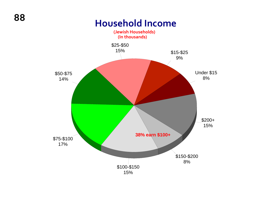### **Household Income**

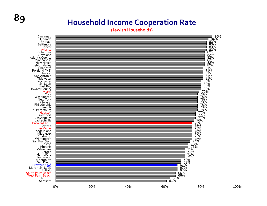### **89 Household Income Cooperation Rate**

**(Jewish Households)**

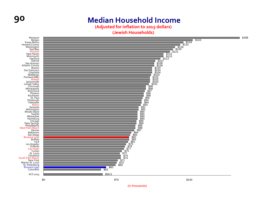

**(Adjusted for inflation to 2015 dollars)**

**(Jewish Households)**



(in thousands)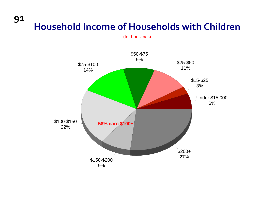# **<sup>91</sup> Household Income of Households with Children**

(In thousands)

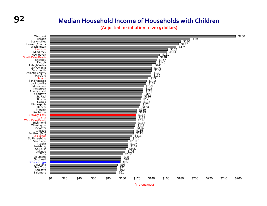### **92 Median Household Income of Households with Children**

**(Adjusted for inflation to 2015 dollars)**



(in thousands)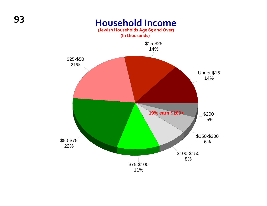### **<sup>93</sup> Household Income (Jewish Households Age 65 and Over)**

**(In thousands)** Under \$15 14%\$15-\$25 14%\$25-\$50 21% \$50-\$75 22%\$75-\$100 11% \$100-\$150 8% \$150-\$200 6%\$200+ 5% **19% earn \$100+**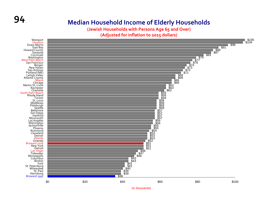### **94 Median Household Income of Elderly Households**

**(Jewish Households with Persons Age 65 and Over)**

**(Adjusted for inflation to 2015 dollars)**

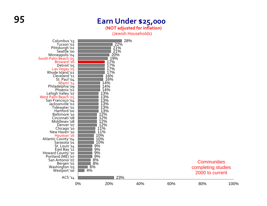### **95 Earn Under \$25,000**

**(NOT adjusted for inflation)**

(Jewish Households)

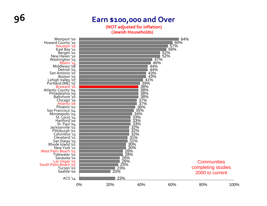### **96 Earn \$100,000 and Over**

**(NOT adjusted for inflation) (Jewish Households)**

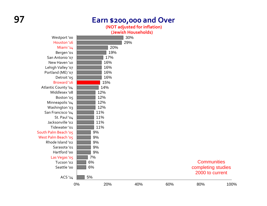### **97 Earn \$200,000 and Over**

**(NOT adjusted for inflation)**



5%

ACS '14

### **Communities** completing studies 2000 to current

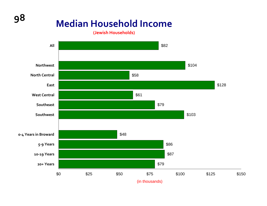# **<sup>98</sup> Median Household Income**

**(Jewish Households)**

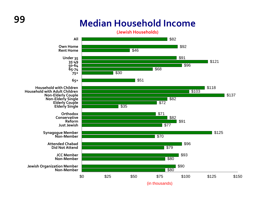## **<sup>99</sup> Median Household Income**

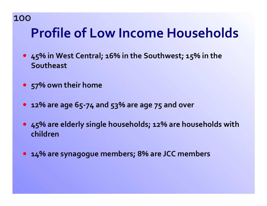### **100** 100

# **Profile of Low Income Households**

- **45% in West Central; 16% in the Southwest; 15% in the** ) **Southeast**
- **57% own their home** )
- **12% are age 65‐<sup>74</sup> and 53% are age 75 and over** )
- **45% are elderly single households; 12% are households with** ) **children**
- **14% are synagogue members; 8% are JCC members** )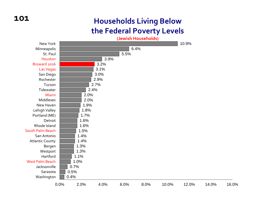### **101**

### **Households Living Below the Federal Poverty Levels**

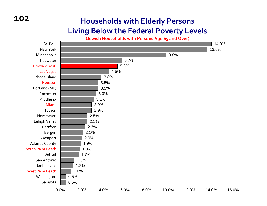### **102**

### **Households with Elderly Persons Living Below the Federal Poverty Levels**



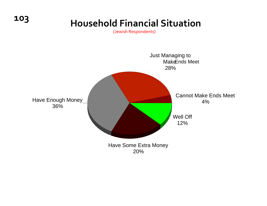## **<sup>103</sup> Household Financial Situation**

(Jewish Respondents)

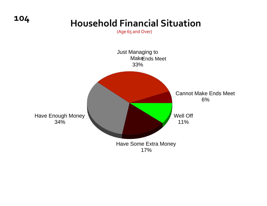

(Age 65 and Over)

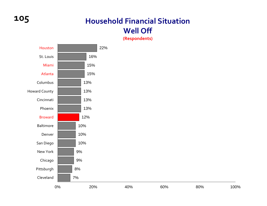### **105 Household Financial Situation Well Off**

**(Respondents)**